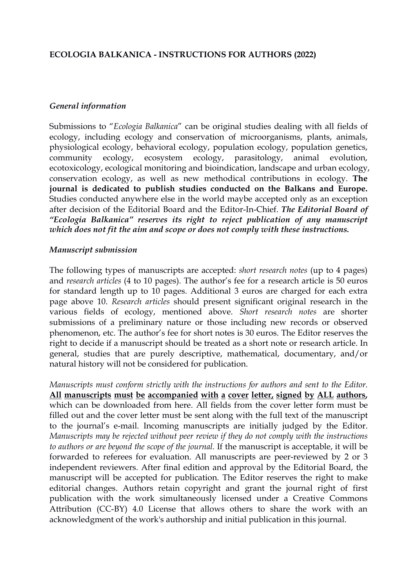#### **ECOLOGIA BALKANICA - INSTRUCTIONS FOR AUTHORS (2022)**

#### *General information*

Submissions to "*Ecologia Balkanica*" can be original studies dealing with all fields of ecology, including ecology and conservation of microorganisms, plants, animals, physiological ecology, behavioral ecology, population ecology, population genetics, community ecology, ecosystem ecology, parasitology, animal evolution, ecotoxicology, ecological monitoring and bioindication, landscape and urban ecology,conservation ecology, as wellas new methodical contributions in ecology. **The journal is dedicated to publish studies conducted on the Balkans and Europe.** Studies conducted anywhere else in the world maybe accepted only as an exception after decision of the Editorial Board and the Editor-In-Chief. *The Editorial Board of "Ecologia Balkanica" reserves its right to reject publication of any manuscript which does not fit the aim and scope or does not comply with these instructions.*

#### *Manuscript submission*

The following types of manuscripts are accepted: *short research notes* (up to 4 pages) and *research articles* (4 to 10 pages). The author's fee for a research article is 50 euros for standard length up to 10 pages. Additional 3 euros are charged for each extra page above 10. *Research articles* should present significant original research in the various fields of ecology, mentioned above. *Short research notes* are shorter submissions of a preliminary nature or those including new records or observed phenomenon, etc. The author's fee forshort notes is 30 euros. The Editor reserves the right to decide if a manuscript should be treated as a short note or research article. In general, studies that are purely descriptive, mathematical, documentary, and/or natural history will not be considered for publication.

*Manuscripts must conform strictly with the instructions for authors and sent to the Editor.* **All manuscripts must be accompanied with a cover letter, signed by ALL authors,** which can be downloaded from [here](http://eb.bio.uni-plovdiv.bg/about/instructions-to-authors/). All fields from the cover letter form must be filled out and the cover letter must be sent along with the full text of the manuscript to the journal's e-mail. Incoming manuscripts are initially judged by the Editor. *Manuscripts may be rejected without peer review if they do not comply with the instructions to authors or are beyond the scope of the journal.* If the manuscript is acceptable, it will be forwarded to referees for evaluation. All manuscripts are peer-reviewed by 2 or 3 independent reviewers. After final edition and approval by the Editorial Board, the manuscript will be accepted for publication. The Editor reserves the right to make editorial changes. Authors retain copyright and grant the journal right of first publication with the work simultaneously licensed under a Creative Commons Attribution (CC-BY) 4.0 License that allows others to share the work with an acknowledgment of the work's authorship and initial publication in thisjournal.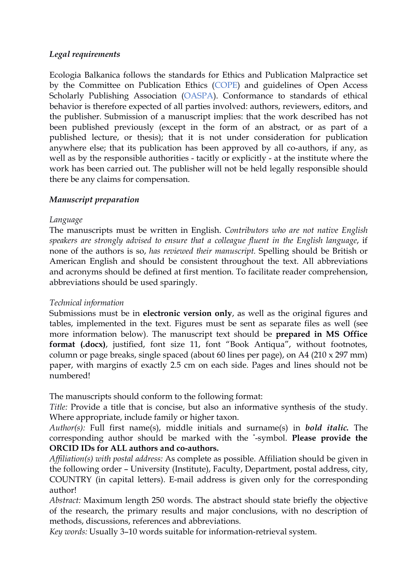## *Legal requirements*

Ecologia Balkanica follows the standards for Ethics and Publication Malpractice set by the Committee on Publication Ethics [\(COPE\)](http://publicationethics.org/files/Code_of_conduct_for_journal_editors_Mar11.pdf) and guidelines of Open Access Scholarly Publishing Association ([OASPA](https://oaspa.org/)). Conformance to standards of ethical behavior is therefore expected of all parties involved: authors, reviewers, editors, and the publisher. Submission of a manuscript implies: that the work described has not been published previously (except in the form of an abstract, or as part of a published lecture, or thesis); that it is not under consideration for publication anywhere else; that its publication has been approved by all co-authors, if any, as well as by the responsible authorities - tacitly or explicitly - at the institute where the work has been carried out. The publisher will not be held legally responsible should there be any claims for compensation.

## *Manuscript preparation*

## *Language*

The manuscripts must be written in English. *Contributors who are not native English speakers are strongly advised to ensure that a colleague fluent in the English language*, if none of the authors is so, *has reviewed their manuscript.* Spelling should be British or American English and should be consistent throughout the text. All abbreviations and acronyms should be defined at first mention. To facilitate reader comprehension, abbreviations should be used sparingly.

#### *Technical information*

Submissions must be in **electronic version only**, as well as the original figures and tables, implemented in the text. Figures must be sent as separate files as well (see more information below). The manuscript text should be **prepared in MS Office format (.docx)**, justified, font size 11, font "Book Antiqua", without footnotes, column or page breaks, single spaced (about 60 lines per page), on A4(210 x 297 mm) paper, with margins of exactly 2.5 cm on each side. Pages and lines should not be numbered!

The manuscripts should conform to the following format:

*Title:* Provide a title that is concise, but also an informative synthesis of the study. Where appropriate, include family or higher taxon.

*Author(s):* Full first name(s), middle initials and surname(s) in *bold italic.* The corresponding author should be marked with the \*-symbol. **Please provide the ORCID IDs for ALL authors and co-authors.**

*Af iliation(s) with postal address:* As complete as possible. Affiliation should be given in the following order – University (Institute), Faculty, Department, postal address, city, COUNTRY (in capital letters). E-mail address is given only for the corresponding author!

*Abstract:* Maximum length 250 words. The abstract should state briefly the objective of the research, the primary results and major conclusions, with no description of methods, discussions, references and abbreviations.

*Key words:* Usually 3–10 words suitable for information-retrieval system.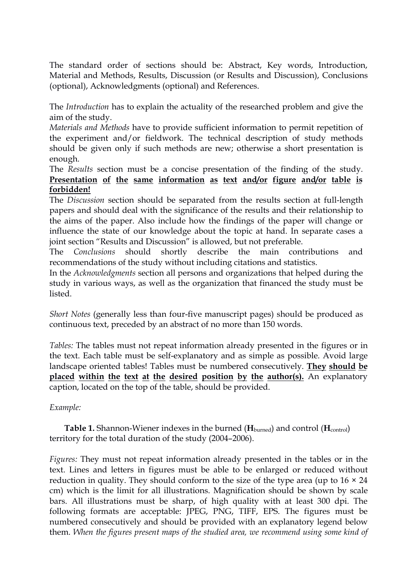The standard order of sections should be: Abstract, Key words, Introduction, Material and Methods, Results, Discussion (or Results and Discussion), Conclusions (optional), Acknowledgments (optional) and References.

The *Introduction* has to explain the actuality of the researched problem and give the aim of the study.

*Materials and Methods* have to provide sufficient information to permit repetition of the experiment and/or fieldwork. The technical description of study methods should be given only if such methods are new; otherwise a short presentation is enough.

The *Results* section must be a concise presentation of the finding of the study. **Presentation of the same information as text and/or figure and/or table is forbidden!**

The *Discussion* section should be separated from the results section at full-length papers and should deal with the significance of the results and their relationship to the aims of the paper. Also include how the findings of the paper will change or influence the state of our knowledge about the topic at hand. In separate cases a joint section "Results and Discussion" is allowed, but not preferable.

The *Conclusions* should shortly describe the main contributions and recommendations of the study without including citations and statistics.

In the *Acknowledgments* section all persons and organizations that helped during the study in various ways, as well as the organization that financed the study must be listed.

*Short Notes* (generally less than four-five manuscript pages) should be produced as continuous text, preceded by an abstract of no more than 150 words.

*Tables:* The tables must not repeat information already presented in the figures or in the text. Each table must be self-explanatory and as simple as possible. Avoid large landscape oriented tables! Tables must be numbered consecutively. **They should be placed within the text at the desired position by the author(s).** An explanatory caption, located on the top of the table, should be provided.

#### *Example:*

**Table 1.** Shannon-Wiener indexes in the burned (H<sub>burned</sub>) and control (H<sub>control</sub>) territory for the total duration of the study (2004–2006).

*Figures:* They must not repeat information already presented in the tables or in the text. Lines and letters in figures must be able to be enlarged or reduced without reduction in quality. They should conform to the size of the type area (up to  $16 \times 24$ cm) which is the limit for all illustrations. Magnification should be shown by scale bars. All illustrations must be sharp, of high quality with at least 300 dpi. The following formats are acceptable: JPEG, PNG, TIFF, EPS. The figures must be numbered consecutively and should be provided with an explanatory legend below them. *When the figures present maps of the studied area, we recommend using some kind of*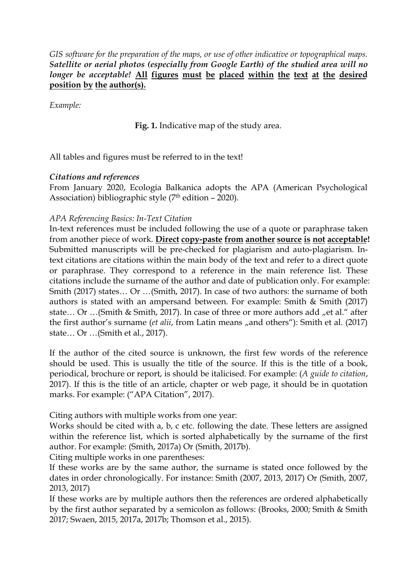*GIS* software for the preparation of the maps, or use of other *indicative* or topographical maps. *Satellite or aerial photos (especially from Google Earth) of the studied area will no longer be acceptable!* **All figures must be placed within the text at the desired position by the author(s).**

*Example:*

**Fig. 1.** Indicative map of the study area.

All tables and figures must be referred to in the text!

## *Citations and references*

From January 2020, Ecologia Balkanica adopts the APA (American [Psychological](https://apastyle.apa.org/index) Association) bibliographic style (7<sup>th</sup> edition – 2020).

## *APA Referencing Basics: In-Text Citation*

In-text references must be included following the use of a quote or paraphrase taken from another piece of work. **Direct copy-paste from another source is not acceptable!** Submitted manuscripts will be pre-checked for plagiarism and auto-plagiarism. Intext citations are citations within the main body of the text and refer to a direct quote or paraphrase. They correspond to a reference in the main reference list. These citations include the surname of the author and date of publication only. For example: Smith (2017) states… Or …(Smith, 2017). In case of two authors: the surname of both authors is stated with an ampersand between. For example: Smith  $\&$  Smith (2017) state... Or ...(Smith & Smith, 2017). In case of three or more authors add "et al." after the first author's surname (*et alii*, from Latin means "and others"): Smith et al. (2017) state… Or …(Smith et al., 2017).

If the author of the cited source is unknown, the first few words of the reference should be used. This is usually the title of the source. If this is the title of a book, periodical, brochure or report, is should be italicised. For example: (*A guide to citation*, 2017). If this is the title of an article, chapter or web page, it should be in quotation marks. For example: ("APA Citation", 2017).

Citing authors with multiple works from one year:

Works should be cited with a, b, c etc. following the date. These letters are assigned within the reference list, which is sorted alphabetically by the surname of the first author. For example: (Smith, 2017a) Or (Smith, 2017b).

Citing multiple works in one parentheses:

If these works are by the same author, the surname is stated once followed by the dates in order chronologically. For instance: Smith (2007, 2013, 2017) Or (Smith, 2007, 2013, 2017)

If these works are by multiple authors then the references are ordered alphabetically by the first author separated by a semicolon as follows: (Brooks, 2000; Smith & Smith 2017; Swaen, 2015, 2017a, 2017b; Thomson et al., 2015).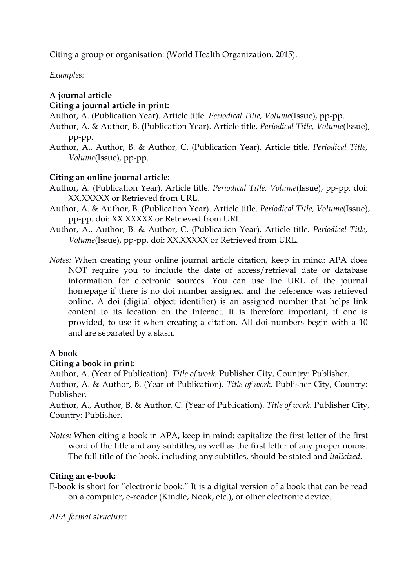Citing a group or organisation: (World Health Organization, 2015).

*Examples:*

# **A journal article**

## **Citing a journal article in print:**

- Author, A. (Publication Year). Article title. *Periodical Title, Volume*(Issue), pp-pp.
- Author, A. & Author, B. (Publication Year). Article title. *Periodical Title, Volume*(Issue), pp-pp.
- Author, A., Author, B. & Author, C. (Publication Year). Article title. *Periodical Title, Volume*(Issue), pp-pp.

## **Citing an online journal article:**

- Author, A. (Publication Year). Article title. *Periodical Title, Volume*(Issue), pp-pp. doi: XX.XXXXX or Retrieved from URL.
- Author, A. & Author, B. (Publication Year). Article title. *Periodical Title, Volume*(Issue), pp-pp. doi: XX.XXXXX or Retrieved from URL.
- Author, A., Author, B. & Author, C. (Publication Year). Article title. *Periodical Title, Volume*(Issue), pp-pp. doi: XX.XXXXX or Retrieved from URL.
- *Notes:* When creating your online journal article citation, keep in mind: APA does NOT require you to include the date of access/retrieval date or database information for electronic sources. You can use the URL of the journal homepage if there is no doi number assigned and the reference was retrieved online. A doi (digital object identifier) is an assigned number that helps link content to its location on the Internet. It is therefore important, if one is provided, to use it when creating a citation. All doi numbers begin with a 10 and are separated by a slash.

## **A book**

## **Citing a book in print:**

Author, A. (Year of Publication). *Title of work*. Publisher City, Country: Publisher.

Author, A. & Author, B. (Year of Publication). *Title of work*. Publisher City, Country: Publisher.

Author, A., Author, B. & Author, C. (Year of Publication). *Title of work.* Publisher City, Country: Publisher.

*Notes:* When citing a book in APA, keep in mind: capitalize the first letter of the first word of the title and any subtitles, as well as the first letter of any proper nouns. The full title of the book, including any subtitles, should be stated and *italicized*.

## **Citing an e-book:**

E-book is short for "electronic book." It is a digital version of a book that can be read on a computer, e-reader (Kindle, Nook, etc.), or other electronic device.

*APA format structure:*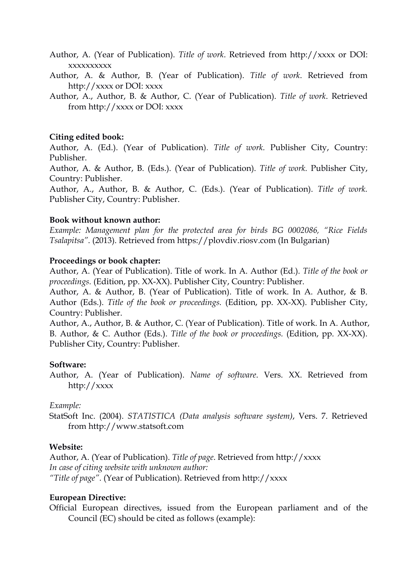Author, A. (Year of Publication). *Title of work*. Retrieved from http://xxxx or DOI: xxxxxxxxxx

Author, A. & Author, B. (Year of Publication). *Title of work*. Retrieved from http://xxxx or DOI: xxxx

Author, A., Author, B. & Author, C. (Year of Publication). *Title of work*. Retrieved from http://xxxx or DOI: xxxx

#### **Citing edited book:**

Author, A. (Ed.). (Year of Publication). *Title of work*. Publisher City, Country: Publisher.

Author, A. & Author, B. (Eds.). (Year of Publication). *Title of work.* Publisher City, Country: Publisher.

Author, A., Author, B. & Author, C. (Eds.). (Year of Publication). *Title of work.* Publisher City, Country: Publisher.

#### **Book without known author:**

*Example: Management plan for the protected area for birds BG 0002086, "Rice Fields Tsalapitsa"*. (2013). Retrieved from https://plovdiv.riosv.com (In Bulgarian)

#### **Proceedings or book chapter:**

Author, A. (Year of Publication). Title of work. In A. Author (Ed.). Title of the book or *proceedings.* (Edition, pp. XX-XX). Publisher City, Country: Publisher.

Author, A. & Author, B. (Year of Publication). Title of work. In A. Author, & B. Author (Eds.). *Title of the book or proceedings.* (Edition, pp. XX-XX). Publisher City, Country: Publisher.

Author, A., Author, B. & Author, C. (Year of Publication). Title of work. In A. Author, B. Author, & C. Author (Eds.). *Title of the book or proceedings.* (Edition, pp. XX-XX). Publisher City, Country: Publisher.

#### **Software:**

Author, A. (Year of Publication). *Name of software*. Vers. XX. Retrieved from http://xxxx

#### *Example:*

StatSoft Inc. (2004). *STATISTICA (Data analysis software system)*, Vers. 7. Retrieved from http://www.statsoft.com

#### **Website:**

Author, A. (Year of Publication). *Title of page*. Retrieved from http://xxxx *In case of citing website with unknown author: "Title of page"*. (Year of Publication). Retrieved from http://xxxx

#### **European Directive:**

Official European directives, issued from the European parliament and of the Council (EC) should be cited as follows (example):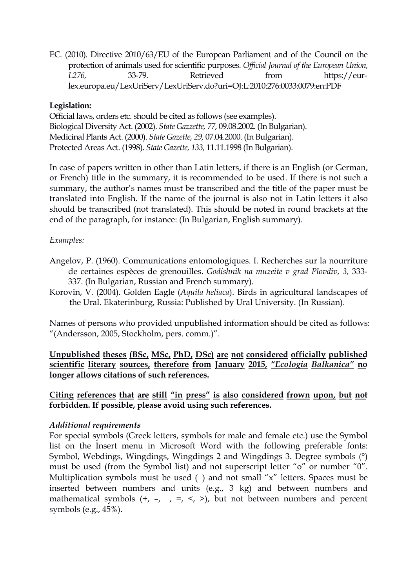EC. (2010). Directive 2010/63/EU of the European Parliament and of the Council on the protection of animals used for scientific purposes. *Of icial Journal of the European Union, L276,* 33-79. Retrieved from https://eurlex.europa.eu/LexUriServ/LexUriServ.do?uri=OJ:L:2010:276:0033:0079:en:PDF

## **Legislation:**

Official laws, orders etc. should be cited as follows (see examples). Biological Diversity Act. (2002). *State Gazzette, 77*, 09.08.2002. (In Bulgarian). Medicinal Plants Act. (2000). *State Gazette, 29,* 07.04.2000. (In Bulgarian). Protected Areas Act. (1998). *State Gazette, 133,* 11.11.1998 (In Bulgarian).

In case of papers written in other than Latin letters, if there is an English (or German, or French) title in the summary, it is recommended to be used. If there is not such a summary, the author's names must be transcribed and the title of the paper must be translated into English. If the name of the journal is also not in Latin letters it also should be transcribed (not translated). This should be noted in round brackets at the end of the paragraph, for instance: (In Bulgarian, English summary).

## *Examples:*

- Angelov, P. (1960). Communications entomologiques. І. Recherches sur la nourriture de certaines espèces de grenouilles. *Godishnik na muzeite v grad Plovdiv, 3,* 333- 337. (In Bulgarian, Russian and French summary).
- Korovin, V. (2004). Golden Eagle (*Aquila heliaca*). Birds in agricultural landscapes of the Ural. Ekaterinburg, Russia: Published by Ural University. (In Russian).

Names of persons who provided unpublished information should be cited as follows: "(Andersson, 2005, Stockholm, pers. comm.)".

**Unpublished theses (BSc, MSc, PhD, DSc) are not considered officially published scientific literary sources, therefore from January 2015, "***Ecologia Balkanica"* **no longer allows citations of such references.**

**Citing references that are still "in press" is also considered frown upon, but not forbidden. If possible, please avoid using such references.**

#### *Additional requirements*

For special symbols (Greek letters, symbols for male and female etc.) use the Symbol list on the Insert menu in Microsoft Word with the following preferable fonts: Symbol, Webdings, Wingdings, Wingdings 2 and Wingdings 3. Degree symbols (°) must be used (from the Symbol list) and not superscript letter "o" or number "0". Multiplication symbols must be used ( ) and not small "x" letters. Spaces must be inserted between numbers and units (e.g., 3 kg) and between numbers and mathematical symbols  $(+, -, -, -, <, >)$ , but not between numbers and percent symbols (e.g., 45%).